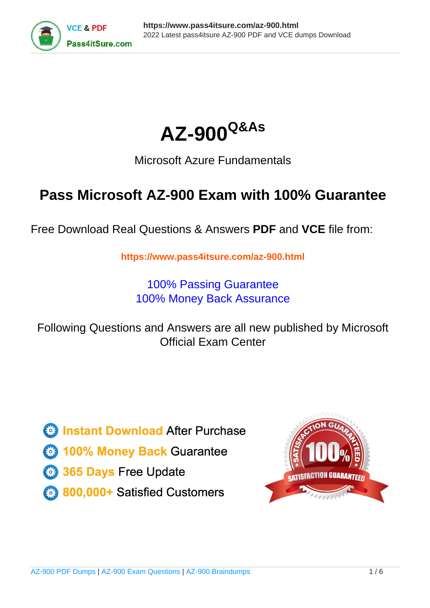



# Microsoft Azure Fundamentals

# **Pass Microsoft AZ-900 Exam with 100% Guarantee**

Free Download Real Questions & Answers **PDF** and **VCE** file from:

**https://www.pass4itsure.com/az-900.html**

100% Passing Guarantee 100% Money Back Assurance

Following Questions and Answers are all new published by Microsoft Official Exam Center

**C** Instant Download After Purchase

**83 100% Money Back Guarantee** 

- 365 Days Free Update
- 800,000+ Satisfied Customers  $\epsilon$  of

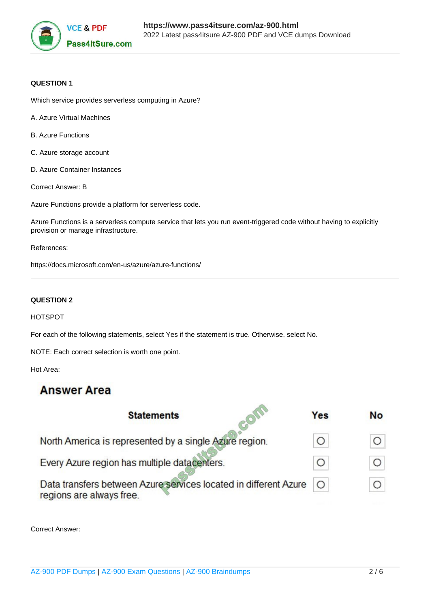

### **QUESTION 1**

Which service provides serverless computing in Azure?

- A. Azure Virtual Machines
- B. Azure Functions
- C. Azure storage account
- D. Azure Container Instances
- Correct Answer: B

Azure Functions provide a platform for serverless code.

Azure Functions is a serverless compute service that lets you run event-triggered code without having to explicitly provision or manage infrastructure.

References:

https://docs.microsoft.com/en-us/azure/azure-functions/

#### **QUESTION 2**

#### HOTSPOT

For each of the following statements, select Yes if the statement is true. Otherwise, select No.

NOTE: Each correct selection is worth one point.

Hot Area:

## **Answer Area**

| <b>Statements</b>                                                                            | <b>Yes</b> | <b>No</b> |
|----------------------------------------------------------------------------------------------|------------|-----------|
| North America is represented by a single Azure region.                                       |            |           |
| Every Azure region has multiple datacenters.                                                 | ◯          |           |
| Data transfers between Azure services located in different Azure<br>regions are always free. |            |           |
|                                                                                              |            |           |

Correct Answer: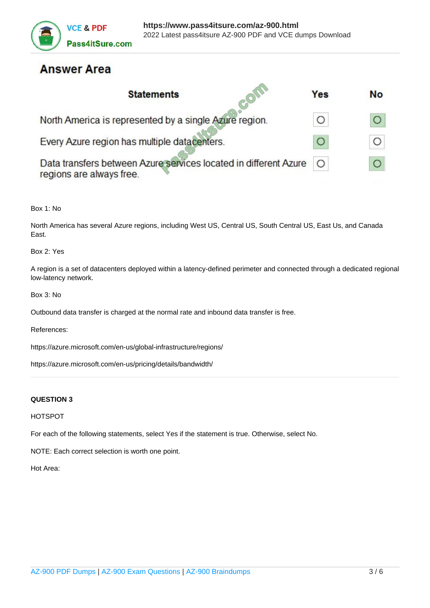

# **Answer Area**

| <b>Statements</b>                                                                            | Yes | <b>No</b> |
|----------------------------------------------------------------------------------------------|-----|-----------|
| North America is represented by a single Azure region.                                       |     |           |
| Every Azure region has multiple datacenters.                                                 |     |           |
| Data transfers between Azure services located in different Azure<br>regions are always free. |     |           |

Box 1: No

North America has several Azure regions, including West US, Central US, South Central US, East Us, and Canada East.

Box 2: Yes

A region is a set of datacenters deployed within a latency-defined perimeter and connected through a dedicated regional low-latency network.

Box 3: No

Outbound data transfer is charged at the normal rate and inbound data transfer is free.

References:

https://azure.microsoft.com/en-us/global-infrastructure/regions/

https://azure.microsoft.com/en-us/pricing/details/bandwidth/

#### **QUESTION 3**

HOTSPOT

For each of the following statements, select Yes if the statement is true. Otherwise, select No.

NOTE: Each correct selection is worth one point.

Hot Area: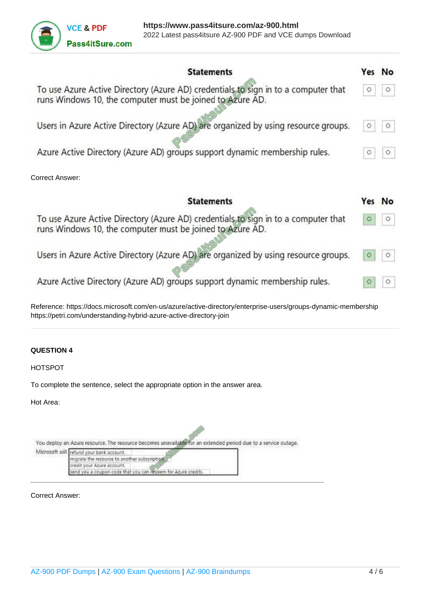

| <b>Statements</b>                                                                                                                               | Yes No  |
|-------------------------------------------------------------------------------------------------------------------------------------------------|---------|
| To use Azure Active Directory (Azure AD) credentials to sign in to a computer that<br>runs Windows 10, the computer must be joined to Azure AD. | $\circ$ |
| Users in Azure Active Directory (Azure AD) are organized by using resource groups.                                                              | $\circ$ |
| Azure Active Directory (Azure AD) groups support dynamic membership rules.                                                                      | 0       |
| <b>Correct Answer:</b>                                                                                                                          |         |
| <b>Statements</b>                                                                                                                               | Yes No  |
| To use Azure Active Directory (Azure AD) credentials to sign in to a computer that<br>runs Windows 10, the computer must be joined to Azure AD. |         |
| Users in Azure Active Directory (Azure AD) are organized by using resource groups.                                                              |         |
| Azure Active Directory (Azure AD) groups support dynamic membership rules.                                                                      |         |

# **QUESTION 4**

HOTSPOT

To complete the sentence, select the appropriate option in the answer area.

https://petri.com/understanding-hybrid-azure-active-directory-join

Hot Area:

| You deploy an Azure resource. The resource becomes unavailable for an extended period due to a service outage. |  |
|----------------------------------------------------------------------------------------------------------------|--|
| Microsoft will refund your bank account.                                                                       |  |
| migrate the resource to another subscription.                                                                  |  |
| credit your Azure account.                                                                                     |  |
| send you a coupon code that you can redeem for Azure credits.                                                  |  |

Correct Answer: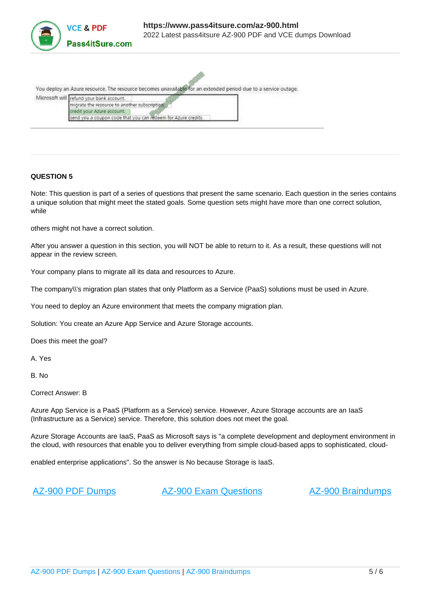

You deploy an Azure resource. The resource becomes unavailable for an extended period due to a service outage. Microsoft will refund your bank account. migrate the resource to another subscription

### **QUESTION 5**

Note: This question is part of a series of questions that present the same scenario. Each question in the series contains a unique solution that might meet the stated goals. Some question sets might have more than one correct solution, while

others might not have a correct solution.

credit your Azure account

After you answer a question in this section, you will NOT be able to return to it. As a result, these questions will not appear in the review screen.

Your company plans to migrate all its data and resources to Azure.

send you a coupon code that you can redeem for Azure credits.

The company\\'s migration plan states that only Platform as a Service (PaaS) solutions must be used in Azure.

You need to deploy an Azure environment that meets the company migration plan.

Solution: You create an Azure App Service and Azure Storage accounts.

Does this meet the goal?

A. Yes

B. No

Correct Answer: B

Azure App Service is a PaaS (Platform as a Service) service. However, Azure Storage accounts are an IaaS (Infrastructure as a Service) service. Therefore, this solution does not meet the goal.

Azure Storage Accounts are IaaS, PaaS as Microsoft says is "a complete development and deployment environment in the cloud, with resources that enable you to deliver everything from simple cloud-based apps to sophisticated, cloud-

enabled enterprise applications". So the answer is No because Storage is IaaS.

[AZ-900 PDF Dumps](https://www.pass4itsure.com/az-900.html) [AZ-900 Exam Questions](https://www.pass4itsure.com/az-900.html) [AZ-900 Braindumps](https://www.pass4itsure.com/az-900.html)